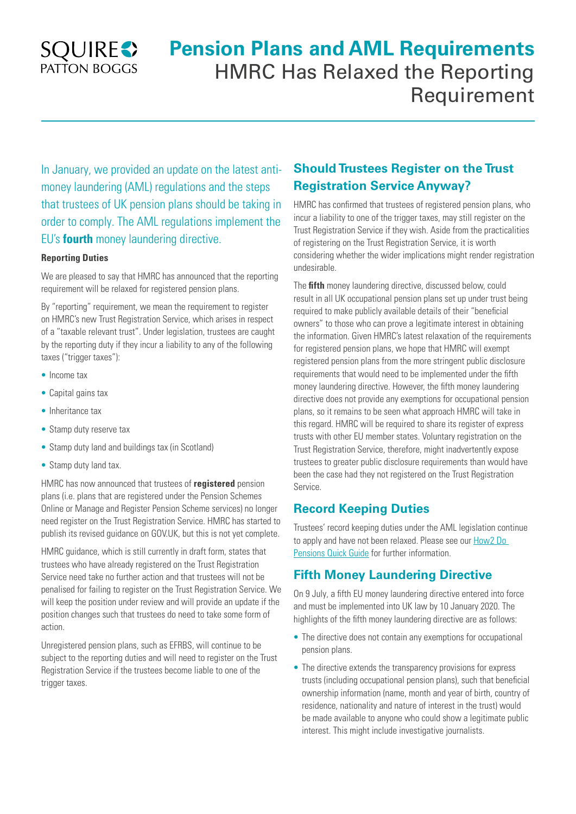## **SQUIRES** PATTON BOGGS

# **Pension Plans and AML Requirements**  HMRC Has Relaxed the Reporting Requirement

In January, we provided an update on the latest antimoney laundering (AML) regulations and the steps that trustees of UK pension plans should be taking in order to comply. The AML regulations implement the EU's **fourth** money laundering directive.

#### **Reporting Duties**

We are pleased to say that HMRC has announced that the reporting requirement will be relaxed for registered pension plans.

By "reporting" requirement, we mean the requirement to register on HMRC's new Trust Registration Service, which arises in respect of a "taxable relevant trust". Under legislation, trustees are caught by the reporting duty if they incur a liability to any of the following taxes ("trigger taxes"):

- Income tax
- Capital gains tax
- Inheritance tax
- Stamp duty reserve tax
- Stamp duty land and buildings tax (in Scotland)
- Stamp duty land tax.

HMRC has now announced that trustees of **registered** pension plans (i.e. plans that are registered under the Pension Schemes Online or Manage and Register Pension Scheme services) no longer need register on the Trust Registration Service. HMRC has started to publish its revised guidance on GOV.UK, but this is not yet complete.

HMRC guidance, which is still currently in draft form, states that trustees who have already registered on the Trust Registration Service need take no further action and that trustees will not be penalised for failing to register on the Trust Registration Service. We will keep the position under review and will provide an update if the position changes such that trustees do need to take some form of action.

Unregistered pension plans, such as EFRBS, will continue to be subject to the reporting duties and will need to register on the Trust Registration Service if the trustees become liable to one of the trigger taxes.

## **Should Trustees Register on the Trust Registration Service Anyway?**

HMRC has confirmed that trustees of registered pension plans, who incur a liability to one of the trigger taxes, may still register on the Trust Registration Service if they wish. Aside from the practicalities of registering on the Trust Registration Service, it is worth considering whether the wider implications might render registration undesirable.

The **fifth** money laundering directive, discussed below, could result in all UK occupational pension plans set up under trust being required to make publicly available details of their "beneficial owners" to those who can prove a legitimate interest in obtaining the information. Given HMRC's latest relaxation of the requirements for registered pension plans, we hope that HMRC will exempt registered pension plans from the more stringent public disclosure requirements that would need to be implemented under the fifth money laundering directive. However, the fifth money laundering directive does not provide any exemptions for occupational pension plans, so it remains to be seen what approach HMRC will take in this regard. HMRC will be required to share its register of express trusts with other EU member states. Voluntary registration on the Trust Registration Service, therefore, might inadvertently expose trustees to greater public disclosure requirements than would have been the case had they not registered on the Trust Registration Service.

### **Record Keeping Duties**

Trustees' record keeping duties under the AML legislation continue to apply and have not been relaxed. Please see our [How2 Do](https://www.squirepattonboggs.com/en/insights/publications/2017/12/how2-do-pensions-anti-money-laundering-compliance)  [Pensions Quick Guide](https://www.squirepattonboggs.com/en/insights/publications/2017/12/how2-do-pensions-anti-money-laundering-compliance) for further information.

## **Fifth Money Laundering Directive**

On 9 July, a fifth EU money laundering directive entered into force and must be implemented into UK law by 10 January 2020. The highlights of the fifth money laundering directive are as follows:

- The directive does not contain any exemptions for occupational pension plans.
- The directive extends the transparency provisions for express trusts (including occupational pension plans), such that beneficial ownership information (name, month and year of birth, country of residence, nationality and nature of interest in the trust) would be made available to anyone who could show a legitimate public interest. This might include investigative journalists.